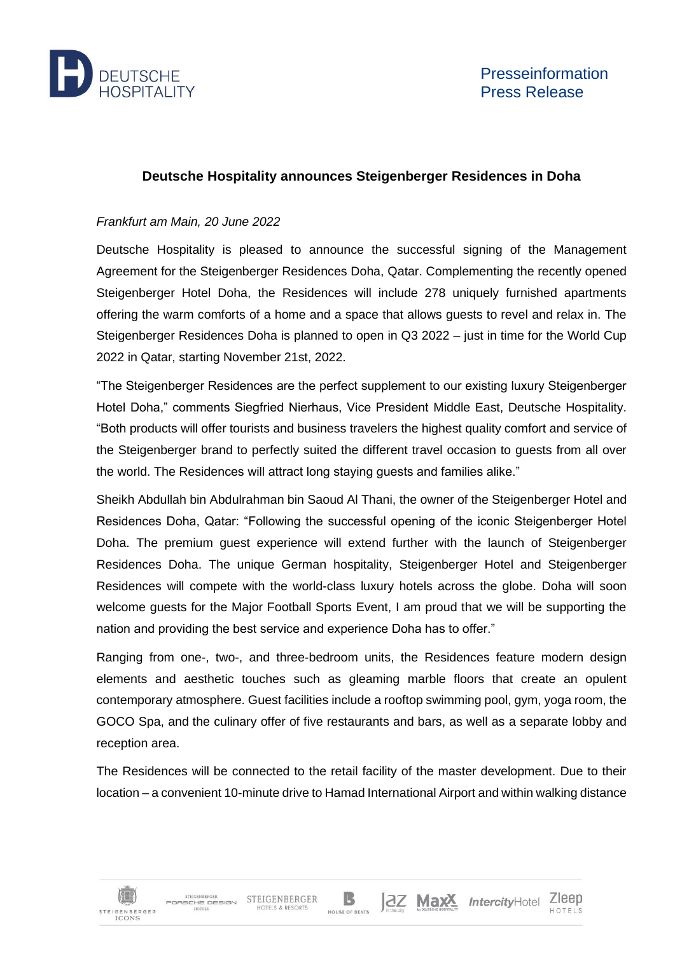

## **Deutsche Hospitality announces Steigenberger Residences in Doha**

## *Frankfurt am Main, 20 June 2022*

Deutsche Hospitality is pleased to announce the successful signing of the Management Agreement for the Steigenberger Residences Doha, Qatar. Complementing the recently opened Steigenberger Hotel Doha, the Residences will include 278 uniquely furnished apartments offering the warm comforts of a home and a space that allows guests to revel and relax in. The Steigenberger Residences Doha is planned to open in Q3 2022 – just in time for the World Cup 2022 in Qatar, starting November 21st, 2022.

"The Steigenberger Residences are the perfect supplement to our existing luxury Steigenberger Hotel Doha," comments Siegfried Nierhaus, Vice President Middle East, Deutsche Hospitality. "Both products will offer tourists and business travelers the highest quality comfort and service of the Steigenberger brand to perfectly suited the different travel occasion to guests from all over the world. The Residences will attract long staying guests and families alike."

Sheikh Abdullah bin Abdulrahman bin Saoud Al Thani, the owner of the Steigenberger Hotel and Residences Doha, Qatar: "Following the successful opening of the iconic Steigenberger Hotel Doha. The premium guest experience will extend further with the launch of Steigenberger Residences Doha. The unique German hospitality, Steigenberger Hotel and Steigenberger Residences will compete with the world-class luxury hotels across the globe. Doha will soon welcome guests for the Major Football Sports Event, I am proud that we will be supporting the nation and providing the best service and experience Doha has to offer."

Ranging from one-, two-, and three-bedroom units, the Residences feature modern design elements and aesthetic touches such as gleaming marble floors that create an opulent contemporary atmosphere. Guest facilities include a rooftop swimming pool, gym, yoga room, the GOCO Spa, and the culinary offer of five restaurants and bars, as well as a separate lobby and reception area.

The Residences will be connected to the retail facility of the master development. Due to their location – a convenient 10-minute drive to Hamad International Airport and within walking distance